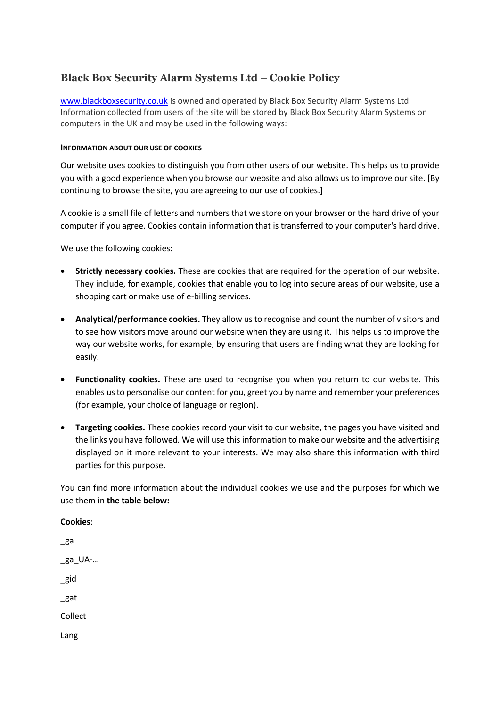# **Black Box Security Alarm Systems Ltd – Cookie Policy**

[www.blackboxsecurity.co.uk](http://www.blackboxsecurity.co.uk/) is owned and operated by Black Box Security Alarm Systems Ltd. Information collected from users of the site will be stored by Black Box Security Alarm Systems on computers in the UK and may be used in the following ways:

### **INFORMATION ABOUT OUR USE OF COOKIES**

Our website uses cookies to distinguish you from other users of our website. This helps us to provide you with a good experience when you browse our website and also allows us to improve our site. [By continuing to browse the site, you are agreeing to our use of cookies.]

A cookie is a small file of letters and numbers that we store on your browser or the hard drive of your computer if you agree. Cookies contain information that is transferred to your computer's hard drive.

We use the following cookies:

- **Strictly necessary cookies.** These are cookies that are required for the operation of our website. They include, for example, cookies that enable you to log into secure areas of our website, use a shopping cart or make use of e-billing services.
- **Analytical/performance cookies.** They allow us to recognise and count the number of visitors and to see how visitors move around our website when they are using it. This helps us to improve the way our website works, for example, by ensuring that users are finding what they are looking for easily.
- **Functionality cookies.** These are used to recognise you when you return to our website. This enables us to personalise our content for you, greet you by name and remember your preferences (for example, your choice of language or region).
- **Targeting cookies.** These cookies record your visit to our website, the pages you have visited and the links you have followed. We will use this information to make our website and the advertising displayed on it more relevant to your interests. We may also share this information with third parties for this purpose.

You can find more information about the individual cookies we use and the purposes for which we use them in **the table below:**

\_ga \_ga\_UA-… \_gid \_gat Collect Lang

**Cookies**: